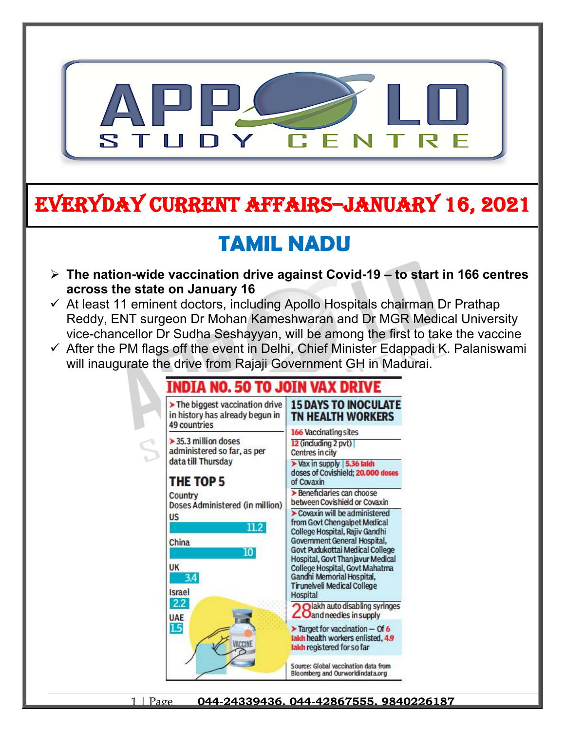

# **EVERYDAY CURRENT AFFAIRS–JANUARY 16, 2021**

## **TAMIL NADU**

- **The nation-wide vaccination drive against Covid-19 to start in 166 centres across the state on January 16**
- $\checkmark$  At least 11 eminent doctors, including Apollo Hospitals chairman Dr Prathap Reddy, ENT surgeon Dr Mohan Kameshwaran and Dr MGR Medical University vice-chancellor Dr Sudha Seshayyan, will be among the first to take the vaccine
- $\checkmark$  After the PM flags off the event in Delhi, Chief Minister Edappadi K. Palaniswami will inaugurate the drive from Rajaji Government GH in Madurai.

### INDIA NO. 50 TO JOIN VAX

 $\triangleright$  The biggest vaccination drive **15 DAYS TO INOCULATE** in history has already begun in **TN HEALTH WORKERS 49 countries** 166 Vaccinating sites  $>$  35.3 million doses 12 (including 2 pvt) administered so far, as per Centres in city data till Thursday > Vax in supply 5.36 laids doses of Covishield; 20,000 doses THE TOP 5 of Covaxin > Beneficiaries can choose Country between Covishield or Covaxin Doses Administered (in million) Covaxin will be administered **US** from Govt Chengalpet Medical  $11.2<sup>°</sup>$ College Hospital, Rajiv Gandhi Government General Hospital, China Govt Pudukottai Medical College  $10<sup>1</sup>$ Hospital, Govt Thanjavur Medical **UK** College Hospital, Govt Mahatma 34 Gandhi Memorial Hospital, **Tirunelveli Medical College** Israel **Hospital**  $2.2$ Olakh auto disabling syringes **Z**O and needles in supply **UAE** 15  $\blacktriangleright$  Target for vaccination - Of 6 lakh health workers enlisted, 4.9 lakh registered for so far Source: Global vaccination data from **Bloomberg and Ourworldindata.org**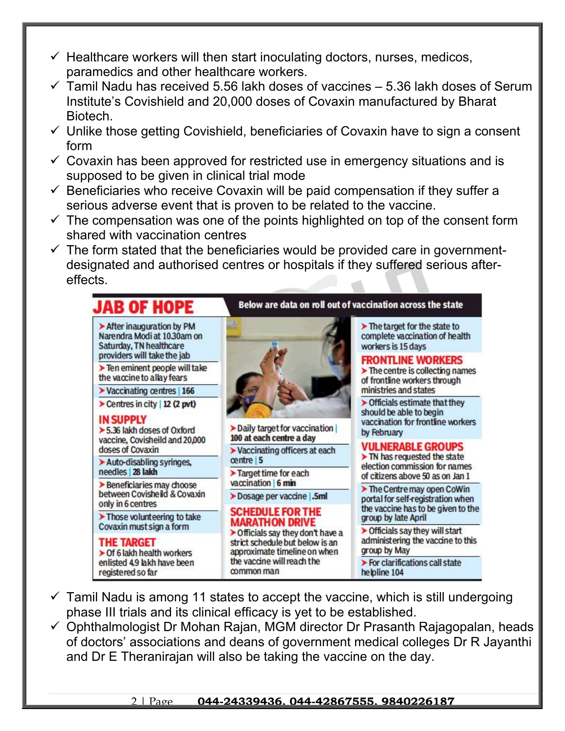- $\checkmark$  Healthcare workers will then start inoculating doctors, nurses, medicos, paramedics and other healthcare workers.
- $\checkmark$  Tamil Nadu has received 5.56 lakh doses of vaccines 5.36 lakh doses of Serum Institute's Covishield and 20,000 doses of Covaxin manufactured by Bharat Biotech.
- $\checkmark$  Unlike those getting Covishield, beneficiaries of Covaxin have to sign a consent form
- $\checkmark$  Covaxin has been approved for restricted use in emergency situations and is supposed to be given in clinical trial mode
- $\checkmark$  Beneficiaries who receive Covaxin will be paid compensation if they suffer a serious adverse event that is proven to be related to the vaccine.
- $\checkmark$  The compensation was one of the points highlighted on top of the consent form shared with vaccination centres
- $\checkmark$  The form stated that the beneficiaries would be provided care in governmentdesignated and authorised centres or hospitals if they suffered serious aftereffects.

| <b>JAB OF HOPE</b>                                                                                                                                                | Below are data on roll out of vaccination across the state                                                                                                                                           |                                                                                                                               |
|-------------------------------------------------------------------------------------------------------------------------------------------------------------------|------------------------------------------------------------------------------------------------------------------------------------------------------------------------------------------------------|-------------------------------------------------------------------------------------------------------------------------------|
| > After inauguration by PM<br>Narendra Modi at 10.30am on<br>Saturday, TN healthcare                                                                              |                                                                                                                                                                                                      | The target for the state to<br>complete vaccination of health<br>workers is 15 days                                           |
| providers will take the jab<br>> Ten eminent people will take<br>the vaccine to allay fears                                                                       |                                                                                                                                                                                                      | <b>FRONTLINE WORKERS</b><br>$\triangleright$ The centre is collecting names<br>of frontline workers through                   |
| Vaccinating centres   166                                                                                                                                         |                                                                                                                                                                                                      | ministries and states                                                                                                         |
| Centres in city   12 (2 pvt)<br><b>IN SUPPLY</b><br>> 5.36 lakh doses of Oxford<br>vaccine, Covisheild and 20,000<br>doses of Covaxin<br>Auto-disabling syringes, | > Daily target for vaccination (                                                                                                                                                                     | > Officials estimate that they<br>should be able to begin<br>vaccination for frontline workers<br>by February                 |
|                                                                                                                                                                   | 100 at each centre a day                                                                                                                                                                             | <b>VULNERABLE GROUPS</b><br>> TN has requested the state<br>election commission for names<br>of citizens above 50 as on Jan 1 |
|                                                                                                                                                                   | > Vaccinating officers at each<br>centre 5<br>> Target time for each                                                                                                                                 |                                                                                                                               |
|                                                                                                                                                                   |                                                                                                                                                                                                      |                                                                                                                               |
| Beneficiaries may choose<br>between Covisheild & Covaxin<br>only in 6 centres                                                                                     |                                                                                                                                                                                                      |                                                                                                                               |
|                                                                                                                                                                   | >Dosage per vaccine 5ml                                                                                                                                                                              |                                                                                                                               |
| > Those volunteering to take                                                                                                                                      | <b>SCHEDULE FOR THE</b><br><b>MARATHON DRIVE</b><br>> Officials say they don't have a<br>strict schedule but below is an<br>approximate timeline on when<br>the vaccine will reach the<br>common man |                                                                                                                               |
| Covaxin must sign a form                                                                                                                                          |                                                                                                                                                                                                      |                                                                                                                               |
| <b>THE TARGET</b><br>> Of 6 lakh health workers                                                                                                                   |                                                                                                                                                                                                      | > Officials say they will start<br>administering the vaccine to this<br>group by May                                          |
| enlisted 4.9 lakh have been<br>registered so far                                                                                                                  |                                                                                                                                                                                                      | > For clarifications call state<br>helpline 104                                                                               |

- $\checkmark$  Tamil Nadu is among 11 states to accept the vaccine, which is still undergoing phase III trials and its clinical efficacy is yet to be established.
- $\checkmark$  Ophthalmologist Dr Mohan Rajan, MGM director Dr Prasanth Rajagopalan, heads of doctors' associations and deans of government medical colleges Dr R Jayanthi and Dr E Theranirajan will also be taking the vaccine on the day.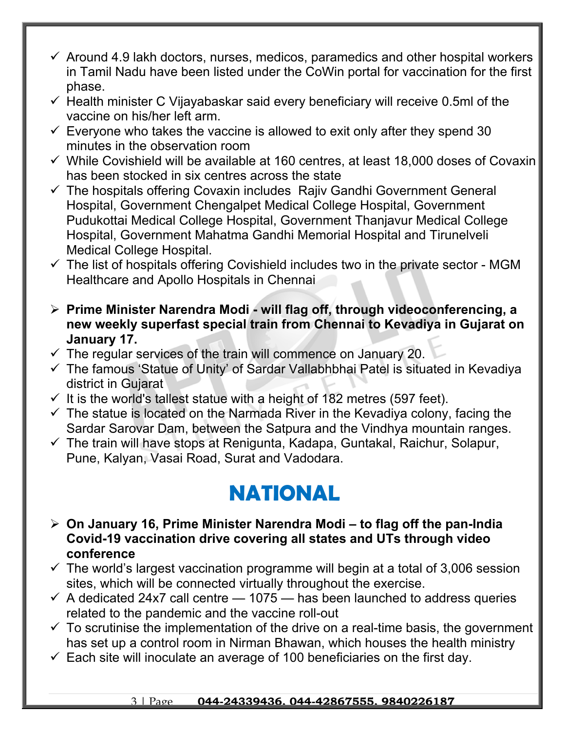- $\checkmark$  Around 4.9 lakh doctors, nurses, medicos, paramedics and other hospital workers in Tamil Nadu have been listed under the CoWin portal for vaccination for the first phase.
- $\checkmark$  Health minister C Vijayabaskar said every beneficiary will receive 0.5ml of the vaccine on his/her left arm.
- $\checkmark$  Everyone who takes the vaccine is allowed to exit only after they spend 30 minutes in the observation room
- $\checkmark$  While Covishield will be available at 160 centres, at least 18,000 doses of Covaxin has been stocked in six centres across the state
- $\checkmark$  The hospitals offering Covaxin includes Rajiv Gandhi Government General Hospital, Government Chengalpet Medical College Hospital, Government Pudukottai Medical College Hospital, Government Thanjavur Medical College Hospital, Government Mahatma Gandhi Memorial Hospital and Tirunelveli Medical College Hospital.
- $\checkmark$  The list of hospitals offering Covishield includes two in the private sector MGM Healthcare and Apollo Hospitals in Chennai
- **Prime Minister Narendra Modi will flag off, through videoconferencing, a new weekly superfast special train from Chennai to Kevadiya in Gujarat on January 17.**
- $\checkmark$  The regular services of the train will commence on January 20.
- $\checkmark$  The famous 'Statue of Unity' of Sardar Vallabhbhai Patel is situated in Kevadiya district in Gujarat
- $\checkmark$  It is the world's tallest statue with a height of 182 metres (597 feet).
- $\checkmark$  The statue is located on the Narmada River in the Kevadiya colony, facing the Sardar Sarovar Dam, between the Satpura and the Vindhya mountain ranges.
- $\checkmark$  The train will have stops at Renigunta, Kadapa, Guntakal, Raichur, Solapur, Pune, Kalyan, Vasai Road, Surat and Vadodara.

### **NATIONAL**

- **On January 16, Prime Minister Narendra Modi to flag off the pan-India Covid-19 vaccination drive covering all states and UTs through video conference**
- $\checkmark$  The world's largest vaccination programme will begin at a total of 3,006 session sites, which will be connected virtually throughout the exercise.
- $\checkmark$  A dedicated 24x7 call centre  $-$  1075  $-$  has been launched to address queries related to the pandemic and the vaccine roll-out
- $\checkmark$  To scrutinise the implementation of the drive on a real-time basis, the government has set up a control room in Nirman Bhawan, which houses the health ministry
- $\checkmark$  Each site will inoculate an average of 100 beneficiaries on the first day.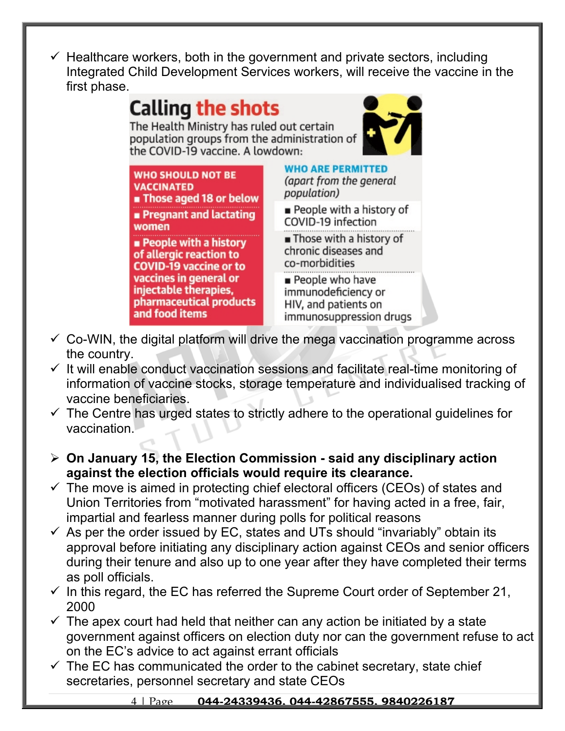Healthcare workers, both in the government and private sectors, including Integrated Child Development Services workers, will receive the vaccine in the first phase.



- $\checkmark$  Co-WIN, the digital platform will drive the mega vaccination programme across the country.
- $\checkmark$  It will enable conduct vaccination sessions and facilitate real-time monitoring of information of vaccine stocks, storage temperature and individualised tracking of vaccine beneficiaries.
- $\checkmark$  The Centre has urged states to strictly adhere to the operational guidelines for vaccination.
- **On January 15, the Election Commission said any disciplinary action against the election officials would require its clearance.**
- $\checkmark$  The move is aimed in protecting chief electoral officers (CEOs) of states and Union Territories from "motivated harassment" for having acted in a free, fair, impartial and fearless manner during polls for political reasons
- $\checkmark$  As per the order issued by EC, states and UTs should "invariably" obtain its approval before initiating any disciplinary action against CEOs and senior officers during their tenure and also up to one year after they have completed their terms as poll officials.
- $\checkmark$  In this regard, the EC has referred the Supreme Court order of September 21, 2000
- $\checkmark$  The apex court had held that neither can any action be initiated by a state government against officers on election duty nor can the government refuse to act on the EC's advice to act against errant officials
- $\checkmark$  The EC has communicated the order to the cabinet secretary, state chief secretaries, personnel secretary and state CEOs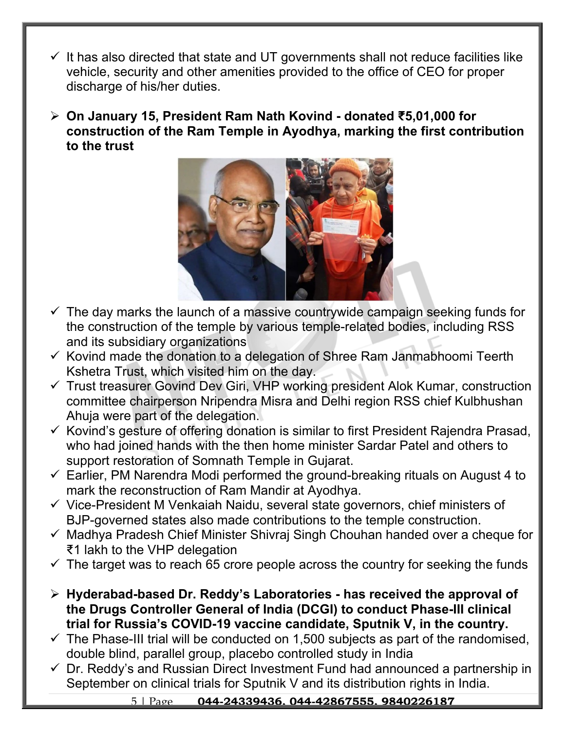- It has also directed that state and UT governments shall not reduce facilities like vehicle, security and other amenities provided to the office of CEO for proper discharge of his/her duties.
- **On January 15, President Ram Nath Kovind donated ₹5,01,000 for construction of the Ram Temple in Ayodhya, marking the first contribution to the trust**



- $\checkmark$  The day marks the launch of a massive countrywide campaign seeking funds for the construction of the temple by various temple-related bodies, including RSS and its subsidiary organizations
- $\checkmark$  Kovind made the donation to a delegation of Shree Ram Janmabhoomi Teerth Kshetra Trust, which visited him on the day.
- $\checkmark$  Trust treasurer Govind Dev Giri, VHP working president Alok Kumar, construction committee chairperson Nripendra Misra and Delhi region RSS chief Kulbhushan Ahuja were part of the delegation.
- $\checkmark$  Kovind's gesture of offering donation is similar to first President Rajendra Prasad. who had joined hands with the then home minister Sardar Patel and others to support restoration of Somnath Temple in Gujarat.
- $\checkmark$  Earlier, PM Narendra Modi performed the ground-breaking rituals on August 4 to mark the reconstruction of Ram Mandir at Ayodhya.
- $\checkmark$  Vice-President M Venkaiah Naidu, several state governors, chief ministers of BJP-governed states also made contributions to the temple construction.
- $\checkmark$  Madhya Pradesh Chief Minister Shivraj Singh Chouhan handed over a cheque for ₹1 lakh to the VHP delegation
- $\checkmark$  The target was to reach 65 crore people across the country for seeking the funds
- **Hyderabad-based Dr. Reddy's Laboratories has received the approval of the Drugs Controller General of India (DCGI) to conduct Phase-III clinical trial for Russia's COVID-19 vaccine candidate, Sputnik V, in the country.**
- $\checkmark$  The Phase-III trial will be conducted on 1,500 subjects as part of the randomised, double blind, parallel group, placebo controlled study in India
- $\checkmark$  Dr. Reddy's and Russian Direct Investment Fund had announced a partnership in September on clinical trials for Sputnik V and its distribution rights in India.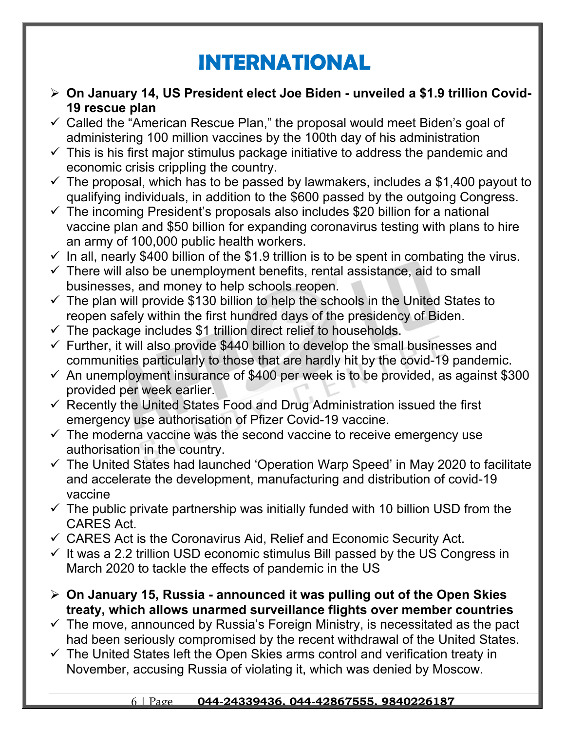### **INTERNATIONAL**

- **On January 14, US President elect Joe Biden unveiled a \$1.9 trillion Covid-19 rescue plan**
- $\checkmark$  Called the "American Rescue Plan," the proposal would meet Biden's goal of administering 100 million vaccines by the 100th day of his administration
- $\checkmark$  This is his first major stimulus package initiative to address the pandemic and economic crisis crippling the country.
- $\checkmark$  The proposal, which has to be passed by lawmakers, includes a \$1,400 payout to qualifying individuals, in addition to the \$600 passed by the outgoing Congress.
- $\checkmark$  The incoming President's proposals also includes \$20 billion for a national vaccine plan and \$50 billion for expanding coronavirus testing with plans to hire an army of 100,000 public health workers.
- $\checkmark$  In all, nearly \$400 billion of the \$1.9 trillion is to be spent in combating the virus.
- $\checkmark$  There will also be unemployment benefits, rental assistance, aid to small businesses, and money to help schools reopen.
- $\checkmark$  The plan will provide \$130 billion to help the schools in the United States to reopen safely within the first hundred days of the presidency of Biden.
- $\checkmark$  The package includes \$1 trillion direct relief to households.
- $\checkmark$  Further, it will also provide \$440 billion to develop the small businesses and communities particularly to those that are hardly hit by the covid-19 pandemic.
- $\checkmark$  An unemployment insurance of \$400 per week is to be provided, as against \$300 provided per week earlier.
- $\checkmark$  Recently the United States Food and Drug Administration issued the first emergency use authorisation of Pfizer Covid-19 vaccine.
- $\checkmark$  The moderna vaccine was the second vaccine to receive emergency use authorisation in the country.
- $\checkmark$  The United States had launched 'Operation Warp Speed' in May 2020 to facilitate and accelerate the development, manufacturing and distribution of covid-19 vaccine
- $\checkmark$  The public private partnership was initially funded with 10 billion USD from the CARES Act.
- $\checkmark$  CARES Act is the Coronavirus Aid, Relief and Economic Security Act.
- $\checkmark$  It was a 2.2 trillion USD economic stimulus Bill passed by the US Congress in March 2020 to tackle the effects of pandemic in the US
- **On January 15, Russia announced it was pulling out of the Open Skies treaty, which allows unarmed surveillance flights over member countries**
- $\checkmark$  The move, announced by Russia's Foreign Ministry, is necessitated as the pact had been seriously compromised by the recent withdrawal of the United States.
- $\checkmark$  The United States left the Open Skies arms control and verification treaty in November, accusing Russia of violating it, which was denied by Moscow.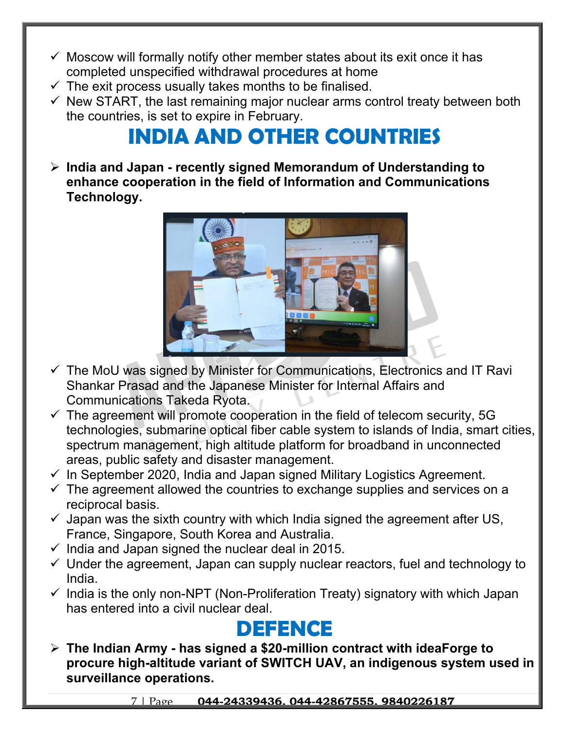- $\checkmark$  Moscow will formally notify other member states about its exit once it has completed unspecified withdrawal procedures at home
- $\checkmark$  The exit process usually takes months to be finalised.
- $\checkmark$  New START, the last remaining major nuclear arms control treaty between both the countries, is set to expire in February.

# **INDIA AND OTHER COUNTRIES**

 **India and Japan - recently signed Memorandum of Understanding to enhance cooperation in the field of Information and Communications Technology.** 



- $\checkmark$  The MoU was signed by Minister for Communications, Electronics and IT Ravi Shankar Prasad and the Japanese Minister for Internal Affairs and Communications Takeda Ryota.
- $\checkmark$  The agreement will promote cooperation in the field of telecom security, 5G technologies, submarine optical fiber cable system to islands of India, smart cities, spectrum management, high altitude platform for broadband in unconnected areas, public safety and disaster management.
- $\checkmark$  In September 2020, India and Japan signed Military Logistics Agreement.
- $\checkmark$  The agreement allowed the countries to exchange supplies and services on a reciprocal basis.
- $\checkmark$  Japan was the sixth country with which India signed the agreement after US, France, Singapore, South Korea and Australia.
- $\checkmark$  India and Japan signed the nuclear deal in 2015.
- $\checkmark$  Under the agreement, Japan can supply nuclear reactors, fuel and technology to India.
- $\checkmark$  India is the only non-NPT (Non-Proliferation Treaty) signatory with which Japan has entered into a civil nuclear deal.

### **DEFENCE**

 **The Indian Army - has signed a \$20-million contract with ideaForge to procure high-altitude variant of SWITCH UAV, an indigenous system used in surveillance operations.**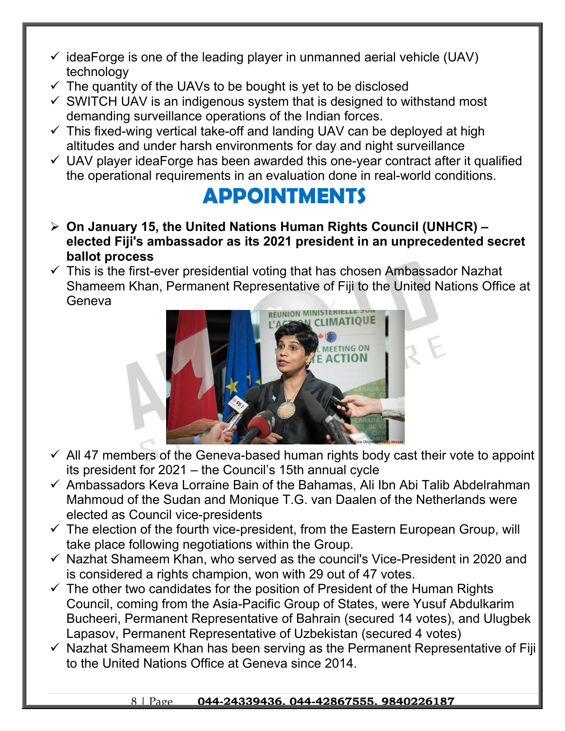- $\checkmark$  ideaForge is one of the leading player in unmanned aerial vehicle (UAV) technology
- $\checkmark$  The quantity of the UAVs to be bought is yet to be disclosed
- $\checkmark$  SWITCH UAV is an indigenous system that is designed to withstand most demanding surveillance operations of the Indian forces.
- $\checkmark$  This fixed-wing vertical take-off and landing UAV can be deployed at high altitudes and under harsh environments for day and night surveillance
- $\checkmark$  UAV player ideaForge has been awarded this one-year contract after it qualified the operational requirements in an evaluation done in real-world conditions.

### **APPOINTMENTS**

- **On January 15, the United Nations Human Rights Council (UNHCR) elected Fiji's ambassador as its 2021 president in an unprecedented secret ballot process**
- $\checkmark$  This is the first-ever presidential voting that has chosen Ambassador Nazhat Shameem Khan, Permanent Representative of Fiji to the United Nations Office at Geneva



- $\checkmark$  All 47 members of the Geneva-based human rights body cast their vote to appoint its president for 2021 – the Council's 15th annual cycle
- $\checkmark$  Ambassadors Keva Lorraine Bain of the Bahamas, Ali Ibn Abi Talib Abdelrahman Mahmoud of the Sudan and Monique T.G. van Daalen of the Netherlands were elected as Council vice-presidents
- $\checkmark$  The election of the fourth vice-president, from the Eastern European Group, will take place following negotiations within the Group.
- $\checkmark$  Nazhat Shameem Khan, who served as the council's Vice-President in 2020 and is considered a rights champion, won with 29 out of 47 votes.
- $\checkmark$  The other two candidates for the position of President of the Human Rights Council, coming from the Asia-Pacific Group of States, were Yusuf Abdulkarim Bucheeri, Permanent Representative of Bahrain (secured 14 votes), and Ulugbek Lapasov, Permanent Representative of Uzbekistan (secured 4 votes)
- $\checkmark$  Nazhat Shameem Khan has been serving as the Permanent Representative of Fiji to the United Nations Office at Geneva since 2014.